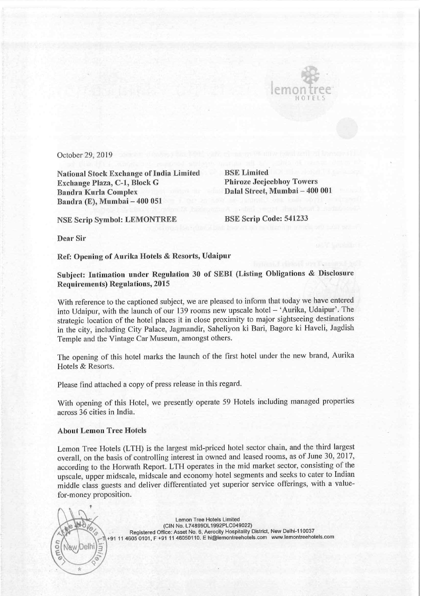

October 29, 2019

National Stock Exchange of India Limited BSE Limited Exchange Plaza, C-1, Block G Phiroze Jeejeebhoy Towers Bandra Kurla Complex Dalal Street, Mumbai — 400 001 Bandra (E), Mumbai — 400 051

NSE Scrip Symbol: LEMONTREE BSE Scrip Code: 541233

Dear Sir

Ref: Opening of Aurika Hotels & Resorts, Udaipur

Subject: Intimation under Regulation 30 of SEBI (Listing Obligations & Disclosure Requirements) Regulations, 2015

With reference to the captioned subject, we are pleased to inform that today we have entered into Udaipur, with the launch of our 139 rooms new upscale hotel — \*Aurika, Udaipur'. The strategic location of the hotel places it in close proximity to major sightseeing destinations in the city, including City Palace, Jagmandir, Saheliyon ki Bari, Bagore ki Haveli, Jagdish Temple and the Vintage Car Museum, amongstothers.

The opening of this hotel marks the launch of the first hotel under the new brand, Aurika Hotels & Resorts.

Please find attached a copy of press release in this regard.

With opening of this Hotel, we presently operate 59 Hotels including managed properties across 36 cities in India.

## About Lemon Tree Hotels

Lemon Tree Hotels (LTH) is the largest mid-priced hotel sector chain, and the third largest overall, on the basis of controlling interest in owned and leased rooms, as of June 30, 2017, according to the Horwath Report. LTH operates in the mid market sector, consisting of the upscale, upper midscale, midscale and economy hotel segments and seeks to cater to Indian middle class guests and deliver differentiated yet superior service offerings, with a valuefor-money proposition.

Lemon Tree Hotels Limited (CIN No. L74899DL1992PLC049022) \* Registered Office: Asset No. 6, Aerocity Hospitality District, New Delhi-110037 Framer Proposition.<br>
For-money proposition.<br>
Framer Tree Hotels Limited<br>
(CIN No. L74899DL1992PLC049022)<br>
Registered Office: Asset No. 6, Aerocly Hospitality District, New Delhi-110037<br>
Framer Tree Hotels.<br>
Registered Offi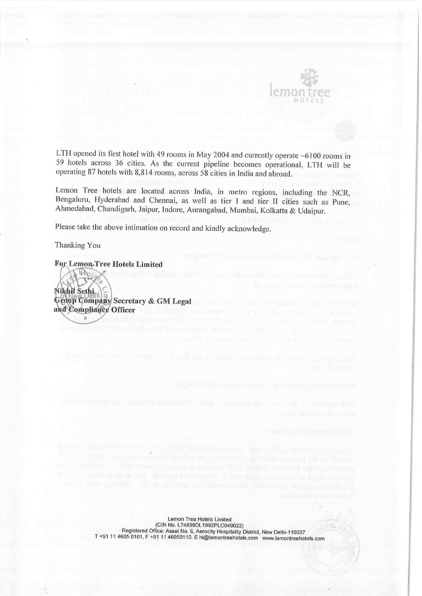

LTH opened its first hotel with 49 rooms in May 2004 and currently operate  $~6100$  rooms in 59 hotels across 36 cities. As the current pipeline becomes operational, LTH will be operating 87 hotels with 8,814 rooms, across

Lemon Tree hotels are located across India, in metro regions, including the NCR, Bengaluru, Hyderabad and Chennai, as well as tier I and tier II cities such as Pune, Ahmedabad, Chandigarh, Jaipur, Indore, Aurangabad, Mumba

Please take the above intimation on record and kindly acknowledge.

Thanking You<br>For Lemon, Tree Hotels Limited

Nikhil Sethin)<br>Group Company Secretary & GM Legal and Compliance Officer

> Lemon Tree Hotels Limited (CIN No. L74899DL1992PLC049022) Registered Office: Asset No. 6, Aerocity Hospitality District, New Delhi-110037<br>T +91 11 4605 0101, F +91 11 46050110. E hi@lemontreehotels.com www.lemontreehotels.com